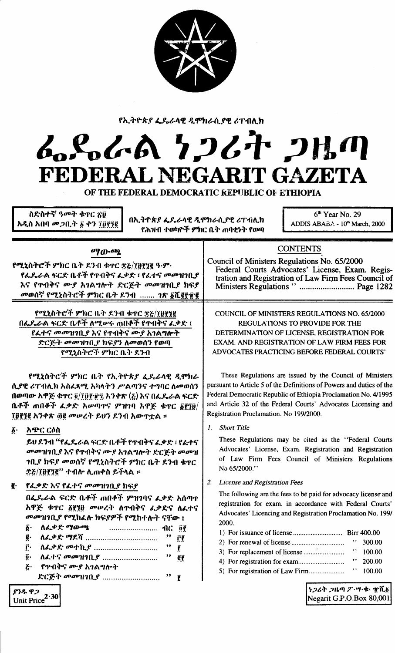

<sup>f</sup> *h":I~~* \* J'*t..1-..~"* If Jl 'fPtJ*~f\.f~ <sup>t</sup>* Tilft.h

## ራይራል ነ*ጋ*ሪት ጋዜጣ **FEDERAL NEGARIT GAZETA**

OF THE FEDERAL DEMOCRATIC REPUBLIC Of. ETHIOPIA

ስድስተኛ ዓመት ቁዋር ጽ፱ <mark>አዲስ</mark> አበባ *መጋ*ቢት ፩ ቀን ፲፬፻፺፪

በኢትዮጵያ ፌዴራሳዊ ዲሞክራሲያዊ ሪፐብሊክ<br>ADDIS ABABA -  $10^{\circ}$  March, 2000 <u>የሕዝብ ተወካዮች ምክር ቤት ጠባቂነት የወጣ</u>

6<sup>th</sup> Year No. 29

## **CONTENTS**

Federal Courts Advocates' License, Exam. Registration and Registration of Law Firm Fees Council of Ministers Regulations" ............................ Page 1282

Council of Ministers Regulations No. 65/2000

f"'O,,,,""c-:f 9"'hC n."" *1.1..1* ~TC ~?;/Iitf.1~ q.9"'. fፌዴራል ፍርድ ቤቶች የ**ተብቅና ፌቃድ ፣ የ**ፈተና መመዝገቢያ *እና የ*ተብቅና ሙይ አገልግሎት ድርጅት መመዝገቢያ ክፍያ መወሰኛ የሚኒስትሮች ምክር ቤት ደንብ ....... *ገጽ <u>δ</u>ሺ* ere

*OY~66J.*

የሚኒስትሮች ምክር ቤት **ደንብ ቁ**ተር <u>ጽ</u>&/፲፱፻፺፪ በፌዶራል ፍርድ ቤቶች ለሚሥሩ **መበ**ቆች የተብቅና ፌቃድ ፤ f *4...,.t;* oo001'1fl.t' *'ht;* fT"I:t>t; lID-.r*h1/A"I""""* ድርጅት *መ*መዝገቢያ ክፍያን ለመወሰን የወጣ የሚኒስትሮች ምክር ቤት ደንብ

f"t)."'''''{~':f 9"'hC *11""* fh. ""f-k.t' 4..1..~."ce *Jl9"h~.* f\.lce ~T"IA.h *h"'4..~"t* ht}""", P'/AtI}1t; *"'''II)C 1\00*OJ(&1 በወጣው አዋጅ **ቁጥር ፬/፲፱፻፹፯ አን**ቀጽ (፩) እና በፌዴራል ፍርድ n..,.:f ml1~:f 4..~.(' hlPtI}T'i" *9"1'11)* hCP~ ~TC *linit/* **፲፱፻፺፪ አንቀጽ ፴፪ መሥረት ይህን ደንብ አውጥቷል ፡፡** 

## $\delta$ · አድር ርዕስ

ይህ ደንብ ''የፌ**ዴራል ፍርድ ቤቶች የ**ተብቅና ፈቃድ ፣ የፈተና *መመ*ንዝንቢ.ያ እና የጥብቅና ሙያ አንልግሎት ድርጅት መመዝ 1ቢያ ክፍያ መወሰኛ የሚኒስትሮች ምክር ቤት ደንብ ቁ**ዋ**ር  $\mathfrak{F}$ డ్ $/\mathfrak{I}$ ழீரீ? \*10\* ሊጠቀስ ይችላል ፡፡

<mark>፪· የፌቃድ እና የፌተና መመዝገቢያ ክ</mark>ፍያ

በፌዴራል ፍርድ ቤቶች **ጠበ**ቆች ምዝገባና ፌቃድ አሰጣዋ hCP~ ~TC 1f.1it *001Pt,""* I\T1I:t>t; *~~.('t; I\~"''i''* መመዝገቢያ የሚከፌሉ ክፍያዎች የሚከተሉት ናቸው ፤

*li' 1\4..~.('* "'1tD-~ flC ~f. I, *I\~~.('* "'11.?t' " f.f f.' *1\~.4>Y:* oo"'h...t' " f. !!. *I\~"''i'' 00001'1* fl.t' " ~f <u>ሯ· \_ የተብቅና ሙያ አገልግሎት</u> .('c:E-"" oo001'1fl.t' " 1.

COUNCIL OF MINISTERS REGULATIONS NO. 65/2000 REGULATIONS TO PROVIDE FOR THE DE1ERMINATION OF LICENSE, REGISTRATION FOR EXAM. AND REGISTRATION OF LAW FIRM FEES FOR ADVOCATES PRACTICING BEFORE FEDERAL COURTS'

These Regulations are issued by the Council of Ministers pursuant to Article 5 of the Definitions of Powers and duties of the Federal Democratic Republic of Ethiopia Proclamation No. 4/1995 and Article 32 of the Federal Courts' Advocates Licensing and Registration Proclamation. No 199/2000.

1. *Short Title*

These Regulations may be cited as the "Federal Courts Advocates' License, Exam. Registration and Registration of Law Firm Fees Council of Ministers Regulations No 65/2000."

2. *License and Registration Fees*

The following are the fees to be paid for advocacy license and registration for exam. in accordance with Federal Courts' Advocates' Licencing and Registration Proclamation No. 199/ 2000.

| $F = 100.00$ |  |  |
|--------------|--|--|

5) For registration of Law Firm " 100.00

ነ*ጋሪት ጋ*ዜጣ ፖ<sup>.</sup>ሣ·ቁ· ፹ሺ፩ Negarit G.P.O.Box 80,001

ያንዱ ዋጋ ይንዱ ዋ*ጋ*<br>Unit Price<sup>2</sup>`30